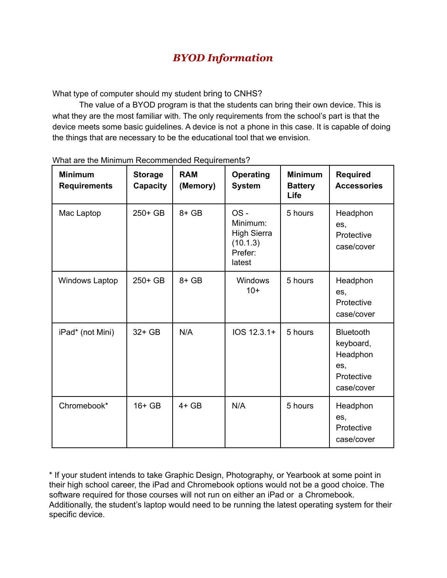## *BYOD Information*

What type of computer should my student bring to CNHS?

The value of a BYOD program is that the students can bring their own device. This is what they are the most familiar with. The only requirements from the school's part is that the device meets some basic guidelines. A device is not a phone in this case. It is capable of doing the things that are necessary to be the educational tool that we envision.

| <b>Minimum</b><br><b>Requirements</b> | <b>Storage</b><br>Capacity | <b>RAM</b><br>(Memory) | <b>Operating</b><br><b>System</b>                                      | <b>Minimum</b><br><b>Battery</b><br>Life | <b>Required</b><br><b>Accessories</b>                                        |
|---------------------------------------|----------------------------|------------------------|------------------------------------------------------------------------|------------------------------------------|------------------------------------------------------------------------------|
| Mac Laptop                            | 250+ GB                    | $8 + GB$               | OS-<br>Minimum:<br><b>High Sierra</b><br>(10.1.3)<br>Prefer:<br>latest | 5 hours                                  | Headphon<br>es,<br>Protective<br>case/cover                                  |
| <b>Windows Laptop</b>                 | 250+ GB                    | $8 + GB$               | Windows<br>$10+$                                                       | 5 hours                                  | Headphon<br>es,<br>Protective<br>case/cover                                  |
| iPad* (not Mini)                      | 32+ GB                     | N/A                    | IOS 12.3.1+                                                            | 5 hours                                  | <b>Bluetooth</b><br>keyboard,<br>Headphon<br>es,<br>Protective<br>case/cover |
| Chromebook*                           | $16+GB$                    | $4+GB$                 | N/A                                                                    | 5 hours                                  | Headphon<br>es,<br>Protective<br>case/cover                                  |

What are the Minimum Recommended Requirements?

\* If your student intends to take Graphic Design, Photography, or Yearbook at some point in their high school career, the iPad and Chromebook options would not be a good choice. The software required for those courses will not run on either an iPad or a Chromebook. Additionally, the student's laptop would need to be running the latest operating system for their specific device.